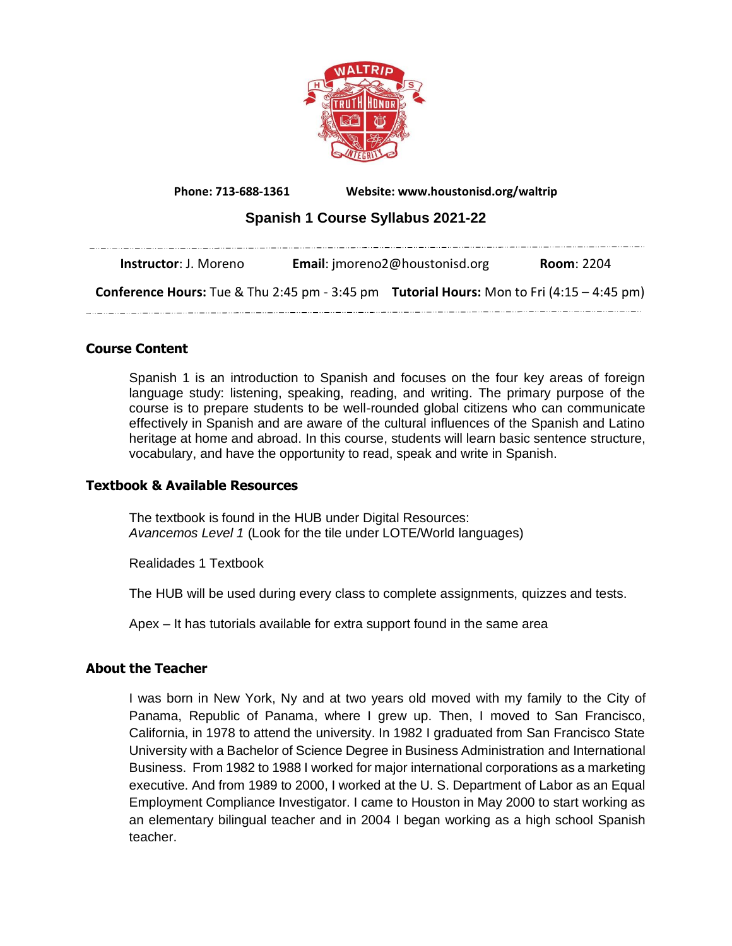

**Phone: 713-688-1361 Website: www.houstonisd.org/waltrip**

# **Spanish 1 Course Syllabus 2021-22**

| <b>Instructor</b> : J. Moreno                                                                           | <b>Email:</b> imoreno2@houstonisd.org | <b>Room: 2204</b> |
|---------------------------------------------------------------------------------------------------------|---------------------------------------|-------------------|
| <b>Conference Hours:</b> Tue & Thu 2:45 pm - 3:45 pm <b>Tutorial Hours:</b> Mon to Fri (4:15 – 4:45 pm) |                                       |                   |

# **Course Content**

Spanish 1 is an introduction to Spanish and focuses on the four key areas of foreign language study: listening, speaking, reading, and writing. The primary purpose of the course is to prepare students to be well-rounded global citizens who can communicate effectively in Spanish and are aware of the cultural influences of the Spanish and Latino heritage at home and abroad. In this course, students will learn basic sentence structure, vocabulary, and have the opportunity to read, speak and write in Spanish.

## **Textbook & Available Resources**

The textbook is found in the HUB under Digital Resources: *Avancemos Level 1* (Look for the tile under LOTE/World languages)

Realidades 1 Textbook

The HUB will be used during every class to complete assignments, quizzes and tests.

Apex – It has tutorials available for extra support found in the same area

# **About the Teacher**

I was born in New York, Ny and at two years old moved with my family to the City of Panama, Republic of Panama, where I grew up. Then, I moved to San Francisco, California, in 1978 to attend the university. In 1982 I graduated from San Francisco State University with a Bachelor of Science Degree in Business Administration and International Business. From 1982 to 1988 I worked for major international corporations as a marketing executive. And from 1989 to 2000, I worked at the U. S. Department of Labor as an Equal Employment Compliance Investigator. I came to Houston in May 2000 to start working as an elementary bilingual teacher and in 2004 I began working as a high school Spanish teacher.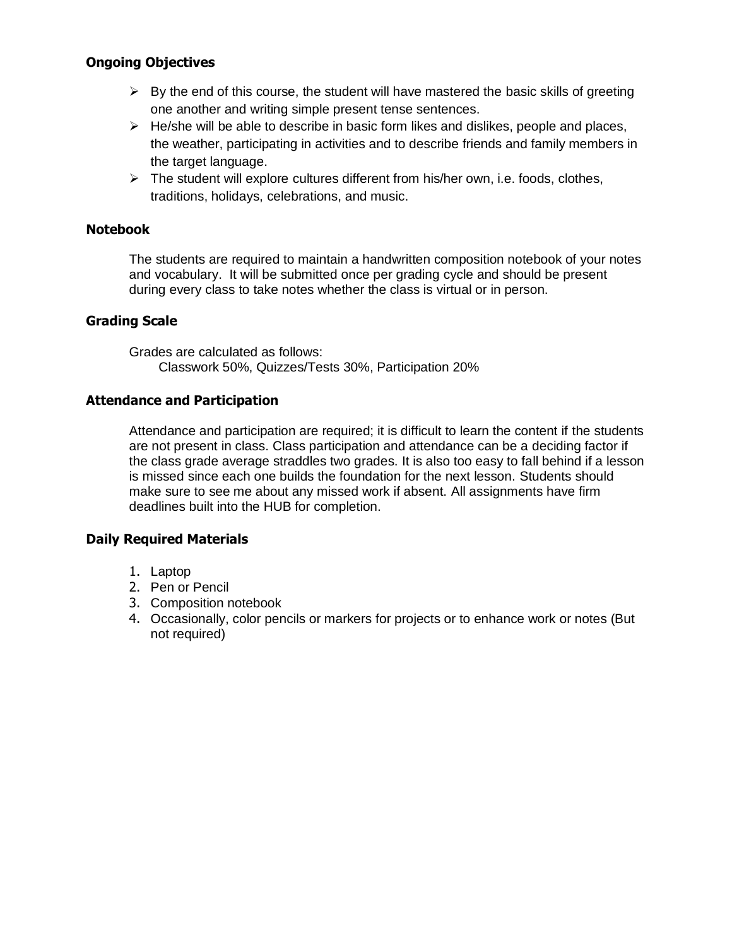# **Ongoing Objectives**

- $\triangleright$  By the end of this course, the student will have mastered the basic skills of greeting one another and writing simple present tense sentences.
- $\triangleright$  He/she will be able to describe in basic form likes and dislikes, people and places, the weather, participating in activities and to describe friends and family members in the target language.
- $\triangleright$  The student will explore cultures different from his/her own, i.e. foods, clothes, traditions, holidays, celebrations, and music.

## **Notebook**

The students are required to maintain a handwritten composition notebook of your notes and vocabulary. It will be submitted once per grading cycle and should be present during every class to take notes whether the class is virtual or in person.

## **Grading Scale**

Grades are calculated as follows: Classwork 50%, Quizzes/Tests 30%, Participation 20%

## **Attendance and Participation**

Attendance and participation are required; it is difficult to learn the content if the students are not present in class. Class participation and attendance can be a deciding factor if the class grade average straddles two grades. It is also too easy to fall behind if a lesson is missed since each one builds the foundation for the next lesson. Students should make sure to see me about any missed work if absent. All assignments have firm deadlines built into the HUB for completion.

## **Daily Required Materials**

- 1. Laptop
- 2. Pen or Pencil
- 3. Composition notebook
- 4. Occasionally, color pencils or markers for projects or to enhance work or notes (But not required)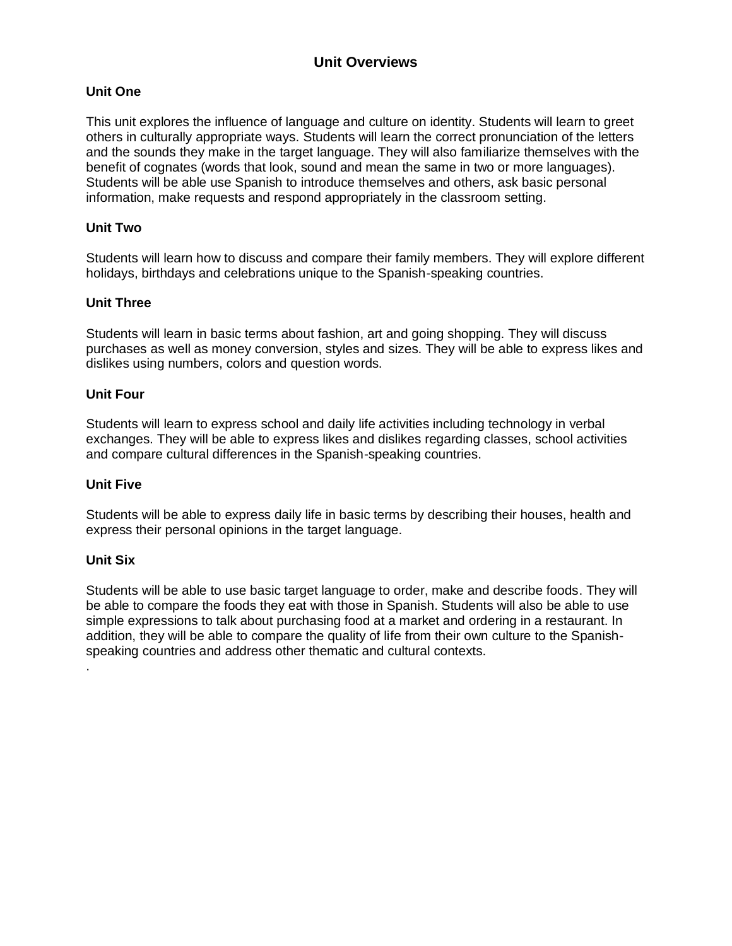# **Unit Overviews**

### **Unit One**

This unit explores the influence of language and culture on identity. Students will learn to greet others in culturally appropriate ways. Students will learn the correct pronunciation of the letters and the sounds they make in the target language. They will also familiarize themselves with the benefit of cognates (words that look, sound and mean the same in two or more languages). Students will be able use Spanish to introduce themselves and others, ask basic personal information, make requests and respond appropriately in the classroom setting.

### **Unit Two**

Students will learn how to discuss and compare their family members. They will explore different holidays, birthdays and celebrations unique to the Spanish-speaking countries.

### **Unit Three**

Students will learn in basic terms about fashion, art and going shopping. They will discuss purchases as well as money conversion, styles and sizes. They will be able to express likes and dislikes using numbers, colors and question words.

### **Unit Four**

Students will learn to express school and daily life activities including technology in verbal exchanges. They will be able to express likes and dislikes regarding classes, school activities and compare cultural differences in the Spanish-speaking countries.

#### **Unit Five**

Students will be able to express daily life in basic terms by describing their houses, health and express their personal opinions in the target language.

### **Unit Six**

.

Students will be able to use basic target language to order, make and describe foods. They will be able to compare the foods they eat with those in Spanish. Students will also be able to use simple expressions to talk about purchasing food at a market and ordering in a restaurant. In addition, they will be able to compare the quality of life from their own culture to the Spanishspeaking countries and address other thematic and cultural contexts.